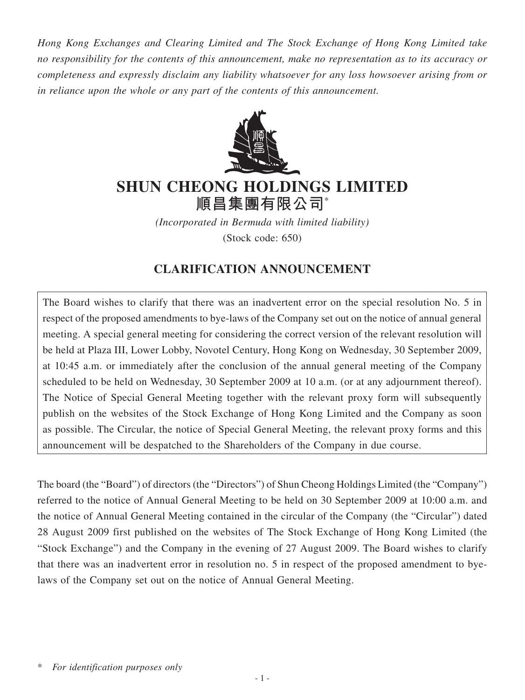*Hong Kong Exchanges and Clearing Limited and The Stock Exchange of Hong Kong Limited take no responsibility for the contents of this announcement, make no representation as to its accuracy or completeness and expressly disclaim any liability whatsoever for any loss howsoever arising from or in reliance upon the whole or any part of the contents of this announcement.*



# **SHUN CHEONG HOLDINGS LIMITED 順昌集團有限公司**\*

*(Incorporated in Bermuda with limited liability)* (Stock code: 650)

# **CLARIFICATION ANNOUNCEMENT**

The Board wishes to clarify that there was an inadvertent error on the special resolution No. 5 in respect of the proposed amendments to bye-laws of the Company set out on the notice of annual general meeting. A special general meeting for considering the correct version of the relevant resolution will be held at Plaza III, Lower Lobby, Novotel Century, Hong Kong on Wednesday, 30 September 2009, at 10:45 a.m. or immediately after the conclusion of the annual general meeting of the Company scheduled to be held on Wednesday, 30 September 2009 at 10 a.m. (or at any adjournment thereof). The Notice of Special General Meeting together with the relevant proxy form will subsequently publish on the websites of the Stock Exchange of Hong Kong Limited and the Company as soon as possible. The Circular, the notice of Special General Meeting, the relevant proxy forms and this announcement will be despatched to the Shareholders of the Company in due course.

The board (the "Board") of directors (the "Directors") of Shun Cheong Holdings Limited (the "Company") referred to the notice of Annual General Meeting to be held on 30 September 2009 at 10:00 a.m. and the notice of Annual General Meeting contained in the circular of the Company (the "Circular") dated 28 August 2009 first published on the websites of The Stock Exchange of Hong Kong Limited (the "Stock Exchange") and the Company in the evening of 27 August 2009. The Board wishes to clarify that there was an inadvertent error in resolution no. 5 in respect of the proposed amendment to byelaws of the Company set out on the notice of Annual General Meeting.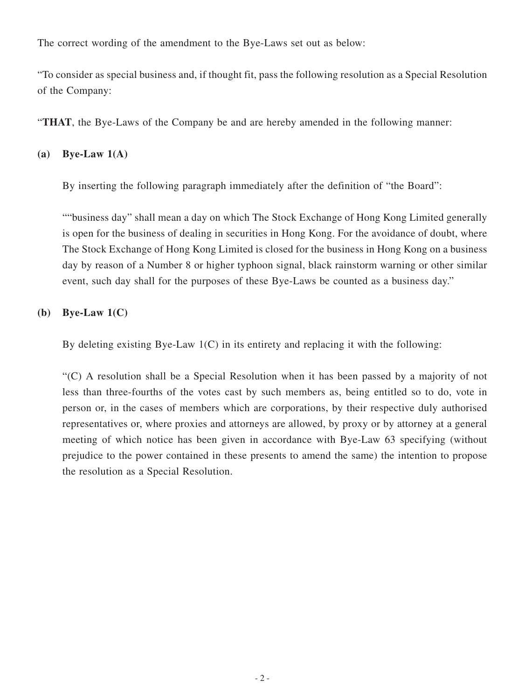The correct wording of the amendment to the Bye-Laws set out as below:

"To consider as special business and, if thought fit, pass the following resolution as a Special Resolution of the Company:

"**THAT**, the Bye-Laws of the Company be and are hereby amended in the following manner:

## **(a) Bye-Law 1(A)**

By inserting the following paragraph immediately after the definition of "the Board":

""business day" shall mean a day on which The Stock Exchange of Hong Kong Limited generally is open for the business of dealing in securities in Hong Kong. For the avoidance of doubt, where The Stock Exchange of Hong Kong Limited is closed for the business in Hong Kong on a business day by reason of a Number 8 or higher typhoon signal, black rainstorm warning or other similar event, such day shall for the purposes of these Bye-Laws be counted as a business day."

# **(b) Bye-Law 1(C)**

By deleting existing Bye-Law  $1(C)$  in its entirety and replacing it with the following:

"(C) A resolution shall be a Special Resolution when it has been passed by a majority of not less than three-fourths of the votes cast by such members as, being entitled so to do, vote in person or, in the cases of members which are corporations, by their respective duly authorised representatives or, where proxies and attorneys are allowed, by proxy or by attorney at a general meeting of which notice has been given in accordance with Bye-Law 63 specifying (without prejudice to the power contained in these presents to amend the same) the intention to propose the resolution as a Special Resolution.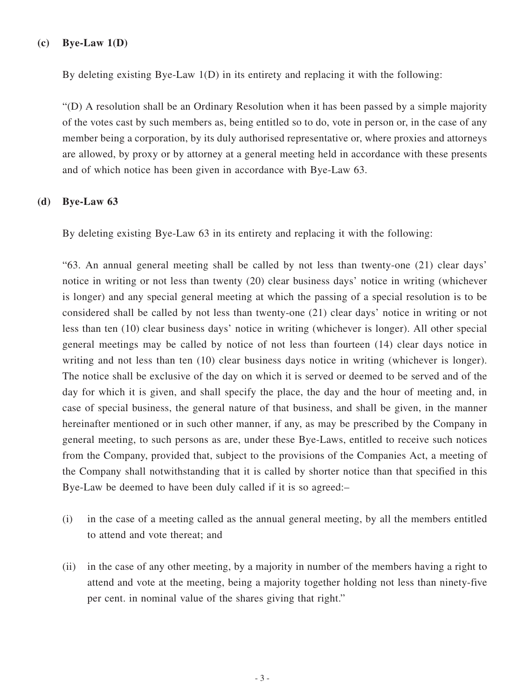#### **(c) Bye-Law 1(D)**

By deleting existing Bye-Law 1(D) in its entirety and replacing it with the following:

"(D) A resolution shall be an Ordinary Resolution when it has been passed by a simple majority of the votes cast by such members as, being entitled so to do, vote in person or, in the case of any member being a corporation, by its duly authorised representative or, where proxies and attorneys are allowed, by proxy or by attorney at a general meeting held in accordance with these presents and of which notice has been given in accordance with Bye-Law 63.

#### **(d) Bye-Law 63**

By deleting existing Bye-Law 63 in its entirety and replacing it with the following:

"63. An annual general meeting shall be called by not less than twenty-one (21) clear days' notice in writing or not less than twenty (20) clear business days' notice in writing (whichever is longer) and any special general meeting at which the passing of a special resolution is to be considered shall be called by not less than twenty-one (21) clear days' notice in writing or not less than ten (10) clear business days' notice in writing (whichever is longer). All other special general meetings may be called by notice of not less than fourteen (14) clear days notice in writing and not less than ten (10) clear business days notice in writing (whichever is longer). The notice shall be exclusive of the day on which it is served or deemed to be served and of the day for which it is given, and shall specify the place, the day and the hour of meeting and, in case of special business, the general nature of that business, and shall be given, in the manner hereinafter mentioned or in such other manner, if any, as may be prescribed by the Company in general meeting, to such persons as are, under these Bye-Laws, entitled to receive such notices from the Company, provided that, subject to the provisions of the Companies Act, a meeting of the Company shall notwithstanding that it is called by shorter notice than that specified in this Bye-Law be deemed to have been duly called if it is so agreed:–

- (i) in the case of a meeting called as the annual general meeting, by all the members entitled to attend and vote thereat; and
- (ii) in the case of any other meeting, by a majority in number of the members having a right to attend and vote at the meeting, being a majority together holding not less than ninety-five per cent. in nominal value of the shares giving that right."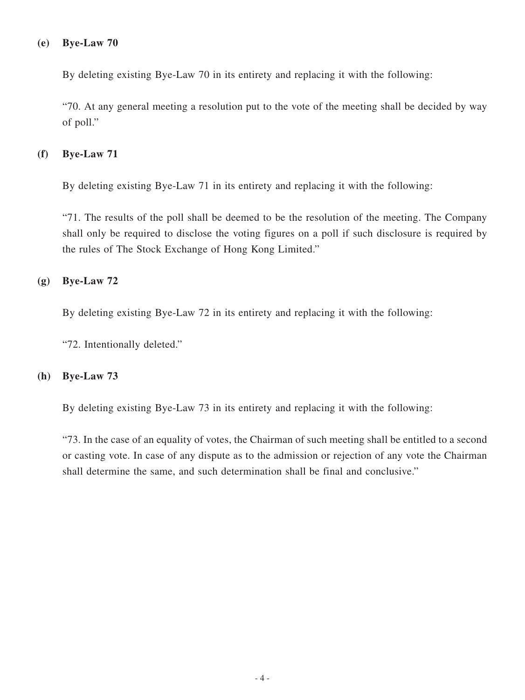#### **(e) Bye-Law 70**

By deleting existing Bye-Law 70 in its entirety and replacing it with the following:

"70. At any general meeting a resolution put to the vote of the meeting shall be decided by way of poll."

### **(f) Bye-Law 71**

By deleting existing Bye-Law 71 in its entirety and replacing it with the following:

"71. The results of the poll shall be deemed to be the resolution of the meeting. The Company shall only be required to disclose the voting figures on a poll if such disclosure is required by the rules of The Stock Exchange of Hong Kong Limited."

### **(g) Bye-Law 72**

By deleting existing Bye-Law 72 in its entirety and replacing it with the following:

"72. Intentionally deleted."

#### **(h) Bye-Law 73**

By deleting existing Bye-Law 73 in its entirety and replacing it with the following:

"73. In the case of an equality of votes, the Chairman of such meeting shall be entitled to a second or casting vote. In case of any dispute as to the admission or rejection of any vote the Chairman shall determine the same, and such determination shall be final and conclusive."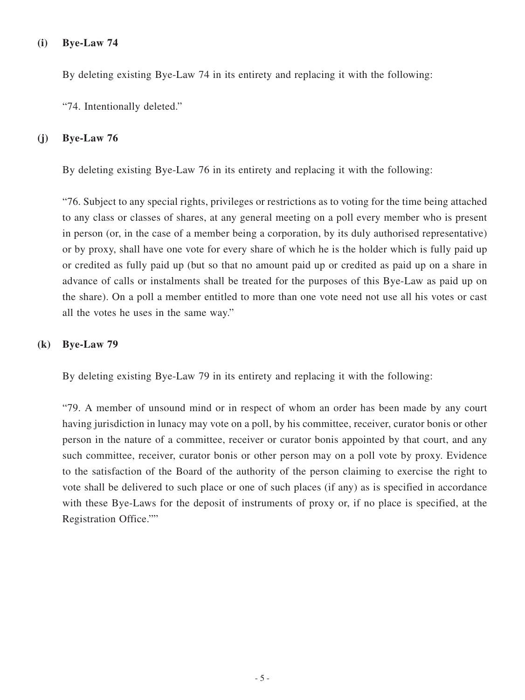### **(i) Bye-Law 74**

By deleting existing Bye-Law 74 in its entirety and replacing it with the following:

"74. Intentionally deleted."

#### **(j) Bye-Law 76**

By deleting existing Bye-Law 76 in its entirety and replacing it with the following:

"76. Subject to any special rights, privileges or restrictions as to voting for the time being attached to any class or classes of shares, at any general meeting on a poll every member who is present in person (or, in the case of a member being a corporation, by its duly authorised representative) or by proxy, shall have one vote for every share of which he is the holder which is fully paid up or credited as fully paid up (but so that no amount paid up or credited as paid up on a share in advance of calls or instalments shall be treated for the purposes of this Bye-Law as paid up on the share). On a poll a member entitled to more than one vote need not use all his votes or cast all the votes he uses in the same way."

### **(k) Bye-Law 79**

By deleting existing Bye-Law 79 in its entirety and replacing it with the following:

"79. A member of unsound mind or in respect of whom an order has been made by any court having jurisdiction in lunacy may vote on a poll, by his committee, receiver, curator bonis or other person in the nature of a committee, receiver or curator bonis appointed by that court, and any such committee, receiver, curator bonis or other person may on a poll vote by proxy. Evidence to the satisfaction of the Board of the authority of the person claiming to exercise the right to vote shall be delivered to such place or one of such places (if any) as is specified in accordance with these Bye-Laws for the deposit of instruments of proxy or, if no place is specified, at the Registration Office.""